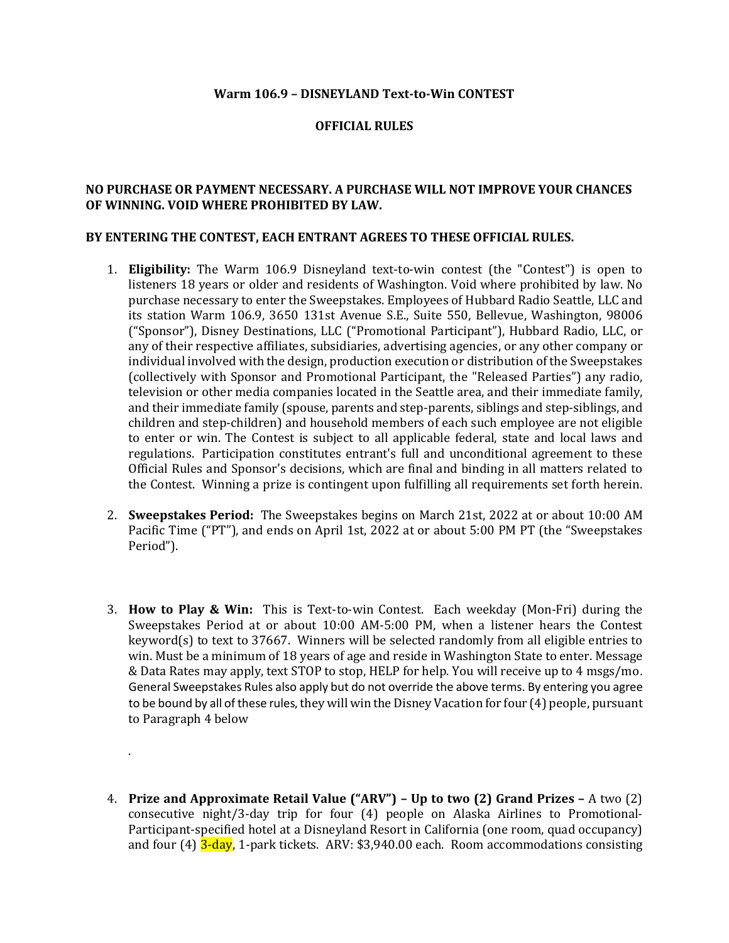## **Warm 106.9 – DISNEYLAND Text-to-Win CONTEST**

## **OFFICIAL RULES**

## **NO PURCHASE OR PAYMENT NECESSARY. A PURCHASE WILL NOT IMPROVE YOUR CHANCES OF WINNING. VOID WHERE PROHIBITED BY LAW.**

## **BY ENTERING THE CONTEST, EACH ENTRANT AGREES TO THESE OFFICIAL RULES.**

- 1. **Eligibility:** The Warm 106.9 Disneyland text-to-win contest (the "Contest") is open to listeners 18 years or older and residents of Washington. Void where prohibited by law. No purchase necessary to enter the Sweepstakes. Employees of Hubbard Radio Seattle, LLC and its station Warm 106.9, 3650 131st Avenue S.E., Suite 550, Bellevue, Washington, 98006 ("Sponsor"), Disney Destinations, LLC ("Promotional Participant"), Hubbard Radio, LLC, or any of their respective affiliates, subsidiaries, advertising agencies, or any other company or individual involved with the design, production execution or distribution of the Sweepstakes (collectively with Sponsor and Promotional Participant, the "Released Parties") any radio, television or other media companies located in the Seattle area, and their immediate family, and their immediate family (spouse, parents and step-parents, siblings and step-siblings, and children and step-children) and household members of each such employee are not eligible to enter or win. The Contest is subject to all applicable federal, state and local laws and regulations. Participation constitutes entrant's full and unconditional agreement to these Official Rules and Sponsor's decisions, which are final and binding in all matters related to the Contest. Winning a prize is contingent upon fulfilling all requirements set forth herein.
- 2. **Sweepstakes Period:** The Sweepstakes begins on March 21st, 2022 at or about 10:00 AM Pacific Time ("PT"), and ends on April 1st, 2022 at or about 5:00 PM PT (the "Sweepstakes Period").
- 3. **How to Play & Win:** This is Text-to-win Contest. Each weekday (Mon-Fri) during the Sweepstakes Period at or about 10:00 AM-5:00 PM, when a listener hears the Contest keyword(s) to text to 37667. Winners will be selected randomly from all eligible entries to win. Must be a minimum of 18 years of age and reside in Washington State to enter. Message & Data Rates may apply, text STOP to stop, HELP for help. You will receive up to 4 msgs/mo. General Sweepstakes Rules also apply but do not override the above terms. By entering you agree to be bound by all of these rules, they will win the Disney Vacation for four (4) people, pursuant to Paragraph 4 below
- 4. **Prize and Approximate Retail Value ("ARV") – Up to two (2) Grand Prizes –** A two (2) consecutive night/3-day trip for four (4) people on Alaska Airlines to Promotional-Participant-specified hotel at a Disneyland Resort in California (one room, quad occupancy) and four (4) 3-day, 1-park tickets. ARV: \$3,940.00 each. Room accommodations consisting

.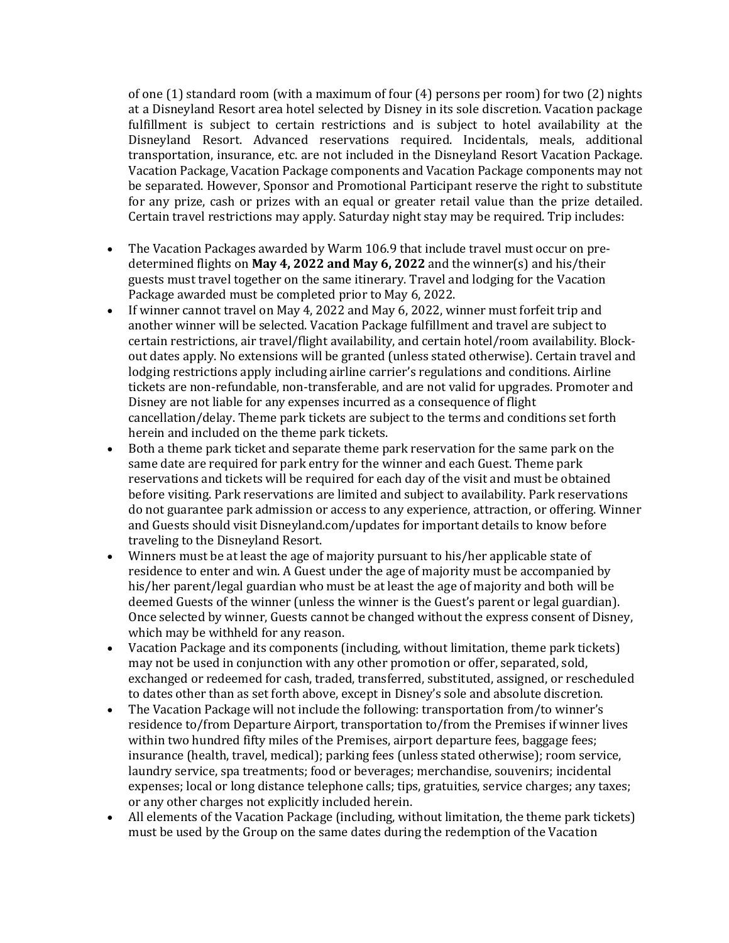of one (1) standard room (with a maximum of four (4) persons per room) for two (2) nights at a Disneyland Resort area hotel selected by Disney in its sole discretion. Vacation package fulfillment is subject to certain restrictions and is subject to hotel availability at the Disneyland Resort. Advanced reservations required. Incidentals, meals, additional transportation, insurance, etc. are not included in the Disneyland Resort Vacation Package. Vacation Package, Vacation Package components and Vacation Package components may not be separated. However, Sponsor and Promotional Participant reserve the right to substitute for any prize, cash or prizes with an equal or greater retail value than the prize detailed. Certain travel restrictions may apply. Saturday night stay may be required. Trip includes:

- The Vacation Packages awarded by Warm 106.9 that include travel must occur on predetermined flights on **May 4, 2022 and May 6, 2022** and the winner(s) and his/their guests must travel together on the same itinerary. Travel and lodging for the Vacation Package awarded must be completed prior to May 6, 2022.
- If winner cannot travel on May 4, 2022 and May 6, 2022, winner must forfeit trip and another winner will be selected. Vacation Package fulfillment and travel are subject to certain restrictions, air travel/flight availability, and certain hotel/room availability. Blockout dates apply. No extensions will be granted (unless stated otherwise). Certain travel and lodging restrictions apply including airline carrier's regulations and conditions. Airline tickets are non-refundable, non-transferable, and are not valid for upgrades. Promoter and Disney are not liable for any expenses incurred as a consequence of flight cancellation/delay. Theme park tickets are subject to the terms and conditions set forth herein and included on the theme park tickets.
- Both a theme park ticket and separate theme park reservation for the same park on the same date are required for park entry for the winner and each Guest. Theme park reservations and tickets will be required for each day of the visit and must be obtained before visiting. Park reservations are limited and subject to availability. Park reservations do not guarantee park admission or access to any experience, attraction, or offering. Winner and Guests should visit Disneyland.com/updates for important details to know before traveling to the Disneyland Resort.
- Winners must be at least the age of majority pursuant to his/her applicable state of residence to enter and win. A Guest under the age of majority must be accompanied by his/her parent/legal guardian who must be at least the age of majority and both will be deemed Guests of the winner (unless the winner is the Guest's parent or legal guardian). Once selected by winner, Guests cannot be changed without the express consent of Disney, which may be withheld for any reason.
- Vacation Package and its components (including, without limitation, theme park tickets) may not be used in conjunction with any other promotion or offer, separated, sold, exchanged or redeemed for cash, traded, transferred, substituted, assigned, or rescheduled to dates other than as set forth above, except in Disney's sole and absolute discretion.
- The Vacation Package will not include the following: transportation from/to winner's residence to/from Departure Airport, transportation to/from the Premises if winner lives within two hundred fifty miles of the Premises, airport departure fees, baggage fees; insurance (health, travel, medical); parking fees (unless stated otherwise); room service, laundry service, spa treatments; food or beverages; merchandise, souvenirs; incidental expenses; local or long distance telephone calls; tips, gratuities, service charges; any taxes; or any other charges not explicitly included herein.
- All elements of the Vacation Package (including, without limitation, the theme park tickets) must be used by the Group on the same dates during the redemption of the Vacation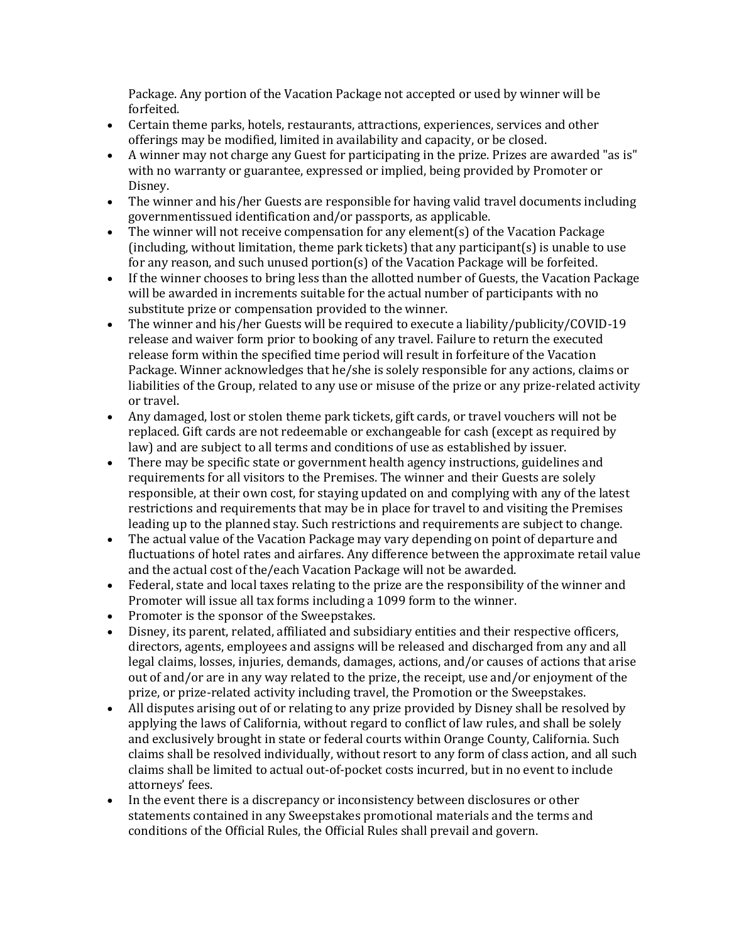Package. Any portion of the Vacation Package not accepted or used by winner will be forfeited.

- Certain theme parks, hotels, restaurants, attractions, experiences, services and other offerings may be modified, limited in availability and capacity, or be closed.
- A winner may not charge any Guest for participating in the prize. Prizes are awarded "as is" with no warranty or guarantee, expressed or implied, being provided by Promoter or Disney.
- The winner and his/her Guests are responsible for having valid travel documents including governmentissued identification and/or passports, as applicable.
- The winner will not receive compensation for any element(s) of the Vacation Package  $(including, without limitation, theme park tickets) that any participant(s) is unable to use$ for any reason, and such unused portion(s) of the Vacation Package will be forfeited.
- If the winner chooses to bring less than the allotted number of Guests, the Vacation Package will be awarded in increments suitable for the actual number of participants with no substitute prize or compensation provided to the winner.
- The winner and his/her Guests will be required to execute a liability/publicity/COVID-19 release and waiver form prior to booking of any travel. Failure to return the executed release form within the specified time period will result in forfeiture of the Vacation Package. Winner acknowledges that he/she is solely responsible for any actions, claims or liabilities of the Group, related to any use or misuse of the prize or any prize-related activity or travel.
- Any damaged, lost or stolen theme park tickets, gift cards, or travel vouchers will not be replaced. Gift cards are not redeemable or exchangeable for cash (except as required by law) and are subject to all terms and conditions of use as established by issuer.
- There may be specific state or government health agency instructions, guidelines and requirements for all visitors to the Premises. The winner and their Guests are solely responsible, at their own cost, for staying updated on and complying with any of the latest restrictions and requirements that may be in place for travel to and visiting the Premises leading up to the planned stay. Such restrictions and requirements are subject to change.
- The actual value of the Vacation Package may vary depending on point of departure and fluctuations of hotel rates and airfares. Any difference between the approximate retail value and the actual cost of the/each Vacation Package will not be awarded.
- Federal, state and local taxes relating to the prize are the responsibility of the winner and Promoter will issue all tax forms including a 1099 form to the winner.
- Promoter is the sponsor of the Sweepstakes.
- Disney, its parent, related, affiliated and subsidiary entities and their respective officers, directors, agents, employees and assigns will be released and discharged from any and all legal claims, losses, injuries, demands, damages, actions, and/or causes of actions that arise out of and/or are in any way related to the prize, the receipt, use and/or enjoyment of the prize, or prize-related activity including travel, the Promotion or the Sweepstakes.
- All disputes arising out of or relating to any prize provided by Disney shall be resolved by applying the laws of California, without regard to conflict of law rules, and shall be solely and exclusively brought in state or federal courts within Orange County, California. Such claims shall be resolved individually, without resort to any form of class action, and all such claims shall be limited to actual out-of-pocket costs incurred, but in no event to include attorneys' fees.
- In the event there is a discrepancy or inconsistency between disclosures or other statements contained in any Sweepstakes promotional materials and the terms and conditions of the Official Rules, the Official Rules shall prevail and govern.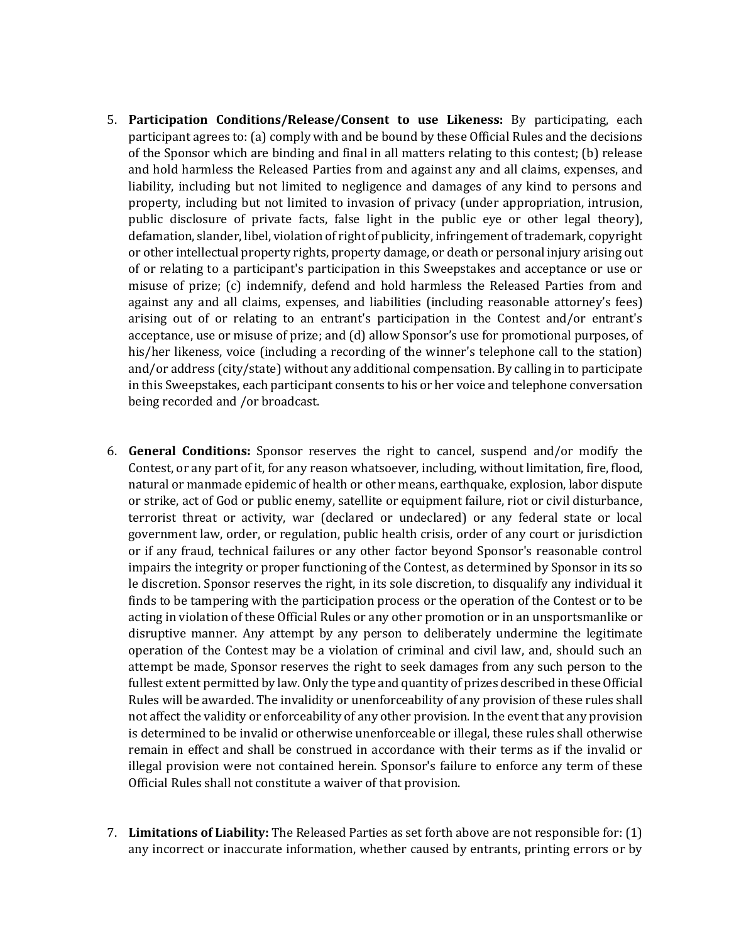- 5. **Participation Conditions/Release/Consent to use Likeness:** By participating, each participant agrees to: (a) comply with and be bound by these Official Rules and the decisions of the Sponsor which are binding and final in all matters relating to this contest; (b) release and hold harmless the Released Parties from and against any and all claims, expenses, and liability, including but not limited to negligence and damages of any kind to persons and property, including but not limited to invasion of privacy (under appropriation, intrusion, public disclosure of private facts, false light in the public eye or other legal theory), defamation, slander, libel, violation of right of publicity, infringement of trademark, copyright or other intellectual property rights, property damage, or death or personal injury arising out of or relating to a participant's participation in this Sweepstakes and acceptance or use or misuse of prize; (c) indemnify, defend and hold harmless the Released Parties from and against any and all claims, expenses, and liabilities (including reasonable attorney's fees) arising out of or relating to an entrant's participation in the Contest and/or entrant's acceptance, use or misuse of prize; and (d) allow Sponsor's use for promotional purposes, of his/her likeness, voice (including a recording of the winner's telephone call to the station) and/or address (city/state) without any additional compensation. By calling in to participate in this Sweepstakes, each participant consents to his or her voice and telephone conversation being recorded and /or broadcast.
- 6. **General Conditions:** Sponsor reserves the right to cancel, suspend and/or modify the Contest, or any part of it, for any reason whatsoever, including, without limitation, fire, flood, natural or manmade epidemic of health or other means, earthquake, explosion, labor dispute or strike, act of God or public enemy, satellite or equipment failure, riot or civil disturbance, terrorist threat or activity, war (declared or undeclared) or any federal state or local government law, order, or regulation, public health crisis, order of any court or jurisdiction or if any fraud, technical failures or any other factor beyond Sponsor's reasonable control impairs the integrity or proper functioning of the Contest, as determined by Sponsor in its so le discretion. Sponsor reserves the right, in its sole discretion, to disqualify any individual it finds to be tampering with the participation process or the operation of the Contest or to be acting in violation of these Official Rules or any other promotion or in an unsportsmanlike or disruptive manner. Any attempt by any person to deliberately undermine the legitimate operation of the Contest may be a violation of criminal and civil law, and, should such an attempt be made, Sponsor reserves the right to seek damages from any such person to the fullest extent permitted by law. Only the type and quantity of prizes described in these Official Rules will be awarded. The invalidity or unenforceability of any provision of these rules shall not affect the validity or enforceability of any other provision. In the event that any provision is determined to be invalid or otherwise unenforceable or illegal, these rules shall otherwise remain in effect and shall be construed in accordance with their terms as if the invalid or illegal provision were not contained herein. Sponsor's failure to enforce any term of these Official Rules shall not constitute a waiver of that provision.
- 7. **Limitations of Liability:** The Released Parties as set forth above are not responsible for: (1) any incorrect or inaccurate information, whether caused by entrants, printing errors or by